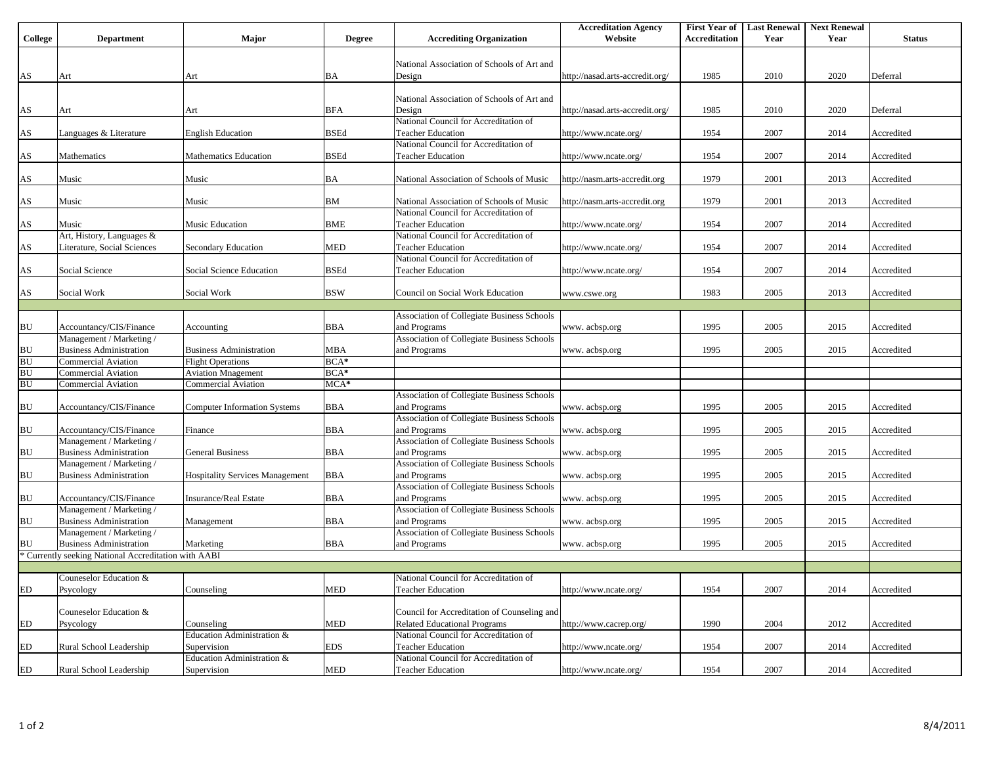|                        |                                                      |                                        |               |                                             | <b>Accreditation Agency</b>     | <b>First Year of</b> | <b>Last Renewal</b> | <b>Next Renewal</b> |               |
|------------------------|------------------------------------------------------|----------------------------------------|---------------|---------------------------------------------|---------------------------------|----------------------|---------------------|---------------------|---------------|
| College                | <b>Department</b>                                    | Major                                  | <b>Degree</b> | <b>Accrediting Organization</b>             | Website                         | Accreditation        | Year                | Year                | <b>Status</b> |
|                        |                                                      |                                        |               |                                             |                                 |                      |                     |                     |               |
|                        |                                                      |                                        |               | National Association of Schools of Art and  |                                 |                      |                     |                     |               |
| $\mathbf{A}\mathbf{S}$ | Art                                                  | Art                                    | BA            | Design                                      | http://nasad.arts-accredit.org/ | 1985                 | 2010                | 2020                | Deferral      |
|                        |                                                      |                                        |               |                                             |                                 |                      |                     |                     |               |
|                        |                                                      |                                        |               | National Association of Schools of Art and  |                                 |                      |                     |                     |               |
|                        |                                                      |                                        |               |                                             |                                 |                      |                     |                     |               |
| $\mathbf{A}\mathbf{S}$ | Art                                                  | Art                                    | BFA           | Design                                      | http://nasad.arts-accredit.org/ | 1985                 | 2010                | 2020                | Deferral      |
|                        |                                                      |                                        |               | National Council for Accreditation of       |                                 |                      |                     |                     |               |
| $\mathbf{A}\mathbf{S}$ | Languages & Literature                               | <b>English Education</b>               | <b>BSEd</b>   | <b>Teacher Education</b>                    | http://www.ncate.org/           | 1954                 | 2007                | 2014                | Accredited    |
|                        |                                                      |                                        |               | National Council for Accreditation of       |                                 |                      |                     |                     |               |
| $\mathbf{A}\mathbf{S}$ | Mathematics                                          | <b>Mathematics Education</b>           | <b>BSEd</b>   | <b>Teacher Education</b>                    | http://www.ncate.org/           | 1954                 | 2007                | 2014                | Accredited    |
|                        |                                                      |                                        |               |                                             |                                 |                      |                     |                     |               |
| $\mathbf{A}\mathbf{S}$ | Music                                                | Music                                  | BA            | National Association of Schools of Music    | http://nasm.arts-accredit.org   | 1979                 | 2001                | 2013                | Accredited    |
|                        |                                                      |                                        |               |                                             |                                 |                      |                     |                     |               |
| $\mathbf{A}\mathbf{S}$ | Music                                                | Music                                  | ΒM            | National Association of Schools of Music    | http://nasm.arts-accredit.org   | 1979                 | 2001                | 2013                | Accredited    |
|                        |                                                      |                                        |               | National Council for Accreditation of       |                                 |                      |                     |                     |               |
| $\mathbf{A}\mathbf{S}$ | Music                                                | Music Education                        | BME           | <b>Teacher Education</b>                    | http://www.ncate.org/           | 1954                 | 2007                | 2014                | Accredited    |
|                        | Art, History, Languages &                            |                                        |               | National Council for Accreditation of       |                                 |                      |                     |                     |               |
| $\mathbf{A}\mathbf{S}$ | Literature, Social Sciences                          | Secondary Education                    | MED           | <b>Teacher Education</b>                    | http://www.ncate.org/           | 1954                 | 2007                | 2014                | Accredited    |
|                        |                                                      |                                        |               | National Council for Accreditation of       |                                 |                      |                     |                     |               |
| AS                     | Social Science                                       | Social Science Education               | BSEd          | <b>Teacher Education</b>                    | http://www.ncate.org/           | 1954                 | 2007                | 2014                | Accredited    |
|                        |                                                      |                                        |               |                                             |                                 |                      |                     |                     |               |
| $\mathbf{A}\mathbf{S}$ | Social Work                                          | Social Work                            | <b>BSW</b>    | Council on Social Work Education            | www.cswe.org                    | 1983                 | 2005                | 2013                | Accredited    |
|                        |                                                      |                                        |               |                                             |                                 |                      |                     |                     |               |
|                        |                                                      |                                        |               | Association of Collegiate Business Schools  |                                 |                      |                     |                     |               |
| ${\bf B}{\bf U}$       | Accountancy/CIS/Finance                              | Accounting                             | BBA           | and Programs                                | www. acbsp.org                  | 1995                 | 2005                | 2015                | Accredited    |
|                        | Management / Marketing /                             |                                        |               | Association of Collegiate Business Schools  |                                 |                      |                     |                     |               |
| ${\bf B}{\bf U}$       | <b>Business Administration</b>                       | <b>Business Administration</b>         | MBA           | and Programs                                | www. acbsp.org                  | 1995                 | 2005                | 2015                | Accredited    |
| BU                     | <b>Commercial Aviation</b>                           | <b>Flight Operations</b>               | $BCA*$        |                                             |                                 |                      |                     |                     |               |
| BU                     | <b>Commercial Aviation</b>                           | <b>Aviation Mnagement</b>              | $BCA*$        |                                             |                                 |                      |                     |                     |               |
| BU                     | <b>Commercial Aviation</b>                           | <b>Commercial Aviation</b>             | $MCA*$        |                                             |                                 |                      |                     |                     |               |
|                        |                                                      |                                        |               |                                             |                                 |                      |                     |                     |               |
|                        |                                                      |                                        |               | Association of Collegiate Business Schools  |                                 |                      |                     |                     |               |
| BU                     | Accountancy/CIS/Finance                              | <b>Computer Information Systems</b>    | BBA           | and Programs                                | www. acbsp.org                  | 1995                 | 2005                | 2015                | Accredited    |
|                        |                                                      |                                        |               | Association of Collegiate Business Schools  |                                 |                      |                     |                     |               |
| BU                     | Accountancy/CIS/Finance                              | Finance                                | BBA           | and Programs                                | www. acbsp.org                  | 1995                 | 2005                | 2015                | Accredited    |
|                        | Management / Marketing /                             |                                        |               | Association of Collegiate Business Schools  |                                 |                      |                     |                     |               |
| BU                     | <b>Business Administration</b>                       | <b>General Business</b>                | BBA           | and Programs                                | www. acbsp.org                  | 1995                 | 2005                | 2015                | Accredited    |
|                        | Management / Marketing /                             |                                        |               | Association of Collegiate Business Schools  |                                 |                      |                     |                     |               |
| BU                     | <b>Business Administration</b>                       | <b>Hospitality Services Management</b> | BBA           | and Programs                                | www. acbsp.org                  | 1995                 | 2005                | 2015                | Accredited    |
|                        |                                                      |                                        |               | Association of Collegiate Business Schools  |                                 |                      |                     |                     |               |
| BU                     | Accountancy/CIS/Finance                              | Insurance/Real Estate                  | BBA           | and Programs                                | www. acbsp.org                  | 1995                 | 2005                | 2015                | Accredited    |
|                        | Management / Marketing /                             |                                        |               | Association of Collegiate Business Schools  |                                 |                      |                     |                     |               |
| BU                     | <b>Business Administration</b>                       | Management                             | BBA           | and Programs                                | www. acbsp.org                  | 1995                 | 2005                | 2015                | Accredited    |
|                        | Management / Marketing /                             |                                        |               | Association of Collegiate Business Schools  |                                 |                      |                     |                     |               |
| BU                     | <b>Business Administration</b>                       | Marketing                              | <b>BBA</b>    | and Programs                                | www. acbsp.org                  | 1995                 | 2005                | 2015                | Accredited    |
|                        | * Currently seeking National Accreditation with AABI |                                        |               |                                             |                                 |                      |                     |                     |               |
|                        |                                                      |                                        |               |                                             |                                 |                      |                     |                     |               |
|                        | Couneselor Education &                               |                                        |               | National Council for Accreditation of       |                                 |                      |                     |                     |               |
| ${\rm ED}$             | Psycology                                            | Counseling                             | <b>MED</b>    | <b>Teacher Education</b>                    | http://www.ncate.org/           | 1954                 | 2007                | 2014                | Accredited    |
|                        |                                                      |                                        |               |                                             |                                 |                      |                     |                     |               |
|                        | Couneselor Education &                               |                                        |               | Council for Accreditation of Counseling and |                                 |                      |                     |                     |               |
| ED                     | Psycology                                            | Counseling                             | MED           | <b>Related Educational Programs</b>         | http://www.cacrep.org/          | 1990                 | 2004                | 2012                | Accredited    |
|                        |                                                      | Education Administration &             |               | National Council for Accreditation of       |                                 |                      |                     |                     |               |
| ED                     | Rural School Leadership                              | Supervision                            | EDS           | <b>Teacher Education</b>                    | http://www.ncate.org/           | 1954                 | 2007                | 2014                | Accredited    |
|                        |                                                      | Education Administration &             |               | National Council for Accreditation of       |                                 |                      |                     |                     |               |
|                        |                                                      |                                        |               |                                             |                                 |                      |                     |                     |               |
| ${\rm ED}$             | Rural School Leadership                              | Supervision                            | MED           | <b>Teacher Education</b>                    | http://www.ncate.org/           | 1954                 | 2007                | 2014                | Accredited    |